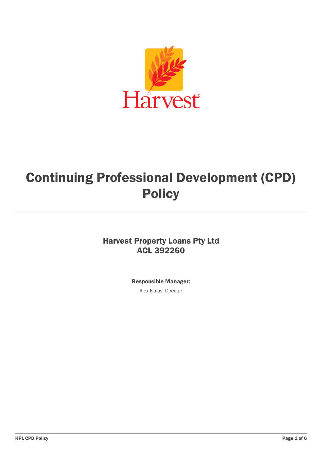

# Continuing Professional Development (CPD) Policy

## Harvest Property Loans Pty Ltd ACL 392260

Responsible Manager:

Alex Isaias, Director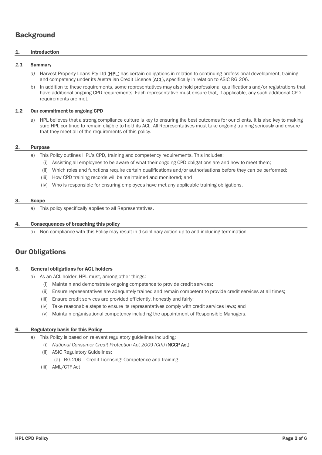## **Background**

#### 1. Introduction

#### *1.1* Summary

- *a)* Harvest Property Loans Pty Ltd (HPL) has certain obligations in relation to continuing professional development, training and competency under its Australian Credit Licence (ACL), specifically in relation to ASIC RG 206.
- b) In addition to these requirements, some representatives may also hold professional qualifications and/or registrations that have additional ongoing CPD requirements. Each representative must ensure that, if applicable, any such additional CPD requirements are met.

#### 1.2 Our commitment to ongoing CPD

a) HPL believes that a strong compliance culture is key to ensuring the best outcomes for our clients. It is also key to making sure HPL continue to remain eligible to hold its ACL. All Representatives must take ongoing training seriously and ensure that they meet all of the requirements of this policy.

#### 2. Purpose

- a) This Policy outlines HPL's CPD, training and competency requirements. This includes:
	- (i) Assisting all employees to be aware of what their ongoing CPD obligations are and how to meet them;
	- (ii) Which roles and functions require certain qualifications and/or authorisations before they can be performed;
	- (iii) How CPD training records will be maintained and monitored; and
	- (iv) Who is responsible for ensuring employees have met any applicable training obligations.

#### 3. Scope

a) This policy specifically applies to all Representatives.

#### 4. Consequences of breaching this policy

a) Non-compliance with this Policy may result in disciplinary action up to and including termination.

### Our Obligations

#### 5. General obligations for ACL holders

- a) As an ACL holder, HPL must, among other things:
	- (i) Maintain and demonstrate ongoing competence to provide credit services;
	- (ii) Ensure representatives are adequately trained and remain competent to provide credit services at all times;
	- (iii) Ensure credit services are provided efficiently, honestly and fairly;
	- (iv) Take reasonable steps to ensure its representatives comply with credit services laws; and
	- (v) Maintain organisational competency including the appointment of Responsible Managers.

#### 6. Regulatory basis for this Policy

- a) This Policy is based on relevant regulatory guidelines including:
	- (i) *National Consumer Credit Protection Act 2009 (Cth)* (NCCP Act)
	- (ii) ASIC Regulatory Guidelines:
		- (a) RG 206 Credit Licensing: Competence and training
	- (iii) AML/CTF Act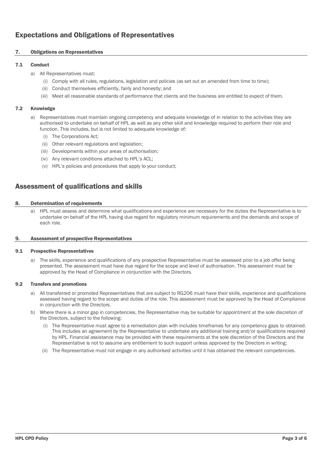## Expectations and Obligations of Representatives

#### 7. Obligations on Representatives

#### 7.1 Conduct

- a) All Representatives must:
	- (i) Comply with all rules, regulations, legislation and policies (as set out an amended from time to time);
	- (ii) Conduct themselves efficiently, fairly and honestly; and
	- (iii) Meet all reasonable standards of performance that clients and the business are entitled to expect of them.

#### 7.2 Knowledge

- a) Representatives must maintain ongoing competency and adequate knowledge of in relation to the activities they are authorised to undertake on behalf of HPL as well as any other skill and knowledge required to perform their role and function. This includes, but is not limited to adequate knowledge of:
	- (i) The Corporations Act;
	- (ii) Other relevant regulations and legislation;
	- (iii) Developments within your areas of authorisation;
	- (iv) Any relevant conditions attached to HPL's ACL;
	- (v) HPL's policies and procedures that apply to your conduct;

## Assessment of qualifications and skills

#### 8. Determination of requirements

a) HPL must assess and determine what qualifications and experience are necessary for the duties the Representative is to undertake on behalf of the HPL having due regard for regulatory minimum requirements and the demands and scope of each role.

#### 9. Assessment of prospective Representatives

#### 9.1 Prospective Representatives

a) The skills, experience and qualifications of any prospective Representative must be assessed prior to a job offer being presented. The assessment must have due regard for the scope and level of authorisation. This assessment must be approved by the Head of Compliance in conjunction with the Directors.

#### 9.2 Transfers and promotions

- a) All transferred or promoted Representatives that are subject to RG206 must have their skills, experience and qualifications assessed having regard to the scope and duties of the role. This assessment must be approved by the Head of Compliance in conjunction with the Directors.
- b) Where there is a minor gap in competencies, the Representative may be suitable for appointment at the sole discretion of the Directors, subject to the following:
	- (i) The Representative must agree to a remediation plan with includes timeframes for any competency gaps to obtained. This includes an agreement by the Representative to undertake any additional training and/or qualifications required by HPL. Financial assistance may be provided with these requirements at the sole discretion of the Directors and the Representative is not to assume any entitlement to such support unless approved by the Directors in writing;
	- (ii) The Representative must not engage in any authorised activities until it has obtained the relevant competencies.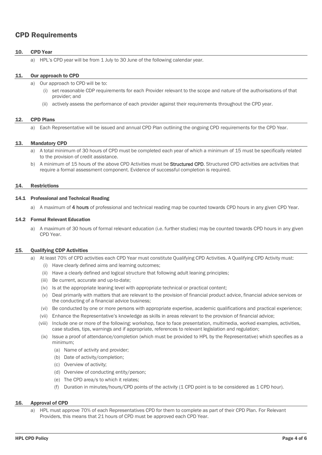## CPD Requirements

#### 10. CPD Year

a) HPL's CPD year will be from 1 July to 30 June of the following calendar year.

#### 11. Our approach to CPD

- a) Our approach to CPD will be to:
	- set reasonable CDP requirements for each Provider relevant to the scope and nature of the authorisations of that provider; and
	- (ii) actively assess the performance of each provider against their requirements throughout the CPD year.

#### 12. CPD Plans

a) Each Representative will be issued and annual CPD Plan outlining the ongoing CPD requirements for the CPD Year.

#### 13. Mandatory CPD

- a) A total minimum of 30 hours of CPD must be completed each year of which a minimum of 15 must be specifically related to the provision of credit assistance.
- b) A minimum of 15 hours of the above CPD Activities must be **Structured CPD**. Structured CPD activities are activities that require a formal assessment component. Evidence of successful completion is required.

#### 14. Restrictions

#### 14.1 Professional and Technical Reading

a) A maximum of 4 hours of professional and technical reading map be counted towards CPD hours in any given CPD Year.

#### 14.2 Formal Relevant Education

a) A maximum of 30 hours of formal relevant education (i.e. further studies) may be counted towards CPD hours in any given CPD Year.

#### <span id="page-3-0"></span>15. Qualifying CDP Activities

- a) At least 70% of CPD activities each CPD Year must constitute Qualifying CPD Activities. A Qualifying CPD Activity must:
	- (i) Have clearly defined aims and learning outcomes;
	- (ii) Have a clearly defined and logical structure that following adult leaning principles;
	- (iii) Be current, accurate and up-to-date;
	- (iv) Is at the appropriate leaning level with appropriate technical or practical content;
	- (v) Deal primarily with matters that are relevant to the provision of financial product advice, financial advice services or the conducting of a financial advice business;
	- (vi) Be conducted by one or more persons with appropriate expertise, academic qualifications and practical experience;
	- (vii) Enhance the Representative's knowledge as skills in areas relevant to the provision of financial advice;
	- (viii) Include one or more of the following: workshop, face to face presentation, multimedia, worked examples, activities, case studies, tips, warnings and if appropriate, references to relevant legislation and regulation;
	- (ix) Issue a proof of attendance/completion (which must be provided to HPL by the Representative) which specifies as a minimum;
		- (a) Name of activity and provider;
		- (b) Date of activity/completion;
		- (c) Overview of activity;
		- (d) Overview of conducting entity/person;
		- (e) The CPD area/s to which it relates;
		- (f) Duration in minutes/hours/CPD points of the activity (1 CPD point is to be considered as 1 CPD hour).

#### 16. Approval of CPD

a) HPL must approve 70% of each Representatives CPD for them to complete as part of their CPD Plan. For Relevant Providers, this means that 21 hours of CPD must be approved each CPD Year.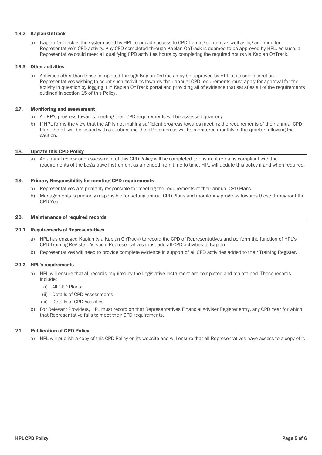#### 16.2 Kaplan OnTrack

a) Kaplan OnTrack is the system used by HPL to provide access to CPD training content as well as log and monitor Representative's CPD activity. Any CPD completed through Kaplan OnTrack is deemed to be approved by HPL. As such, a Representative could meet all qualifying CPD activities hours by completing the required hours via Kaplan OnTrack.

#### 16.3 Other activities

a) Activities other than those completed through Kaplan OnTrack may be approved by HPL at its sole discretion. Representatives wishing to count such activities towards their annual CPD requirements must apply for approval for the activity in question by logging it in Kaplan OnTrack portal and providing all of evidence that satisfies all of the requirements outlined in sectio[n 15](#page-3-0) of this Policy.

#### 17. Monitoring and assessment

- a) An RP's progress towards meeting their CPD requirements will be assessed quarterly.
- b) If HPL forms the view that the AP is not making sufficient progress towards meeting the requirements of their annual CPD Plan, the RP will be issued with a caution and the RP's progress will be monitored monthly in the quarter following the caution.

#### 18. Update this CPD Policy

a) An annual review and assessment of this CPD Policy will be completed to ensure it remains compliant with the requirements of the Legislative Instrument as amended from time to time. HPL will update this policy if and when required.

#### 19. Primary Responsibility for meeting CPD requirements

- a) Representatives are primarily responsible for meeting the requirements of their annual CPD Plans.
- b) Managements is primarily responsible for setting annual CPD Plans and monitoring progress towards these throughout the CPD Year.

#### 20. Maintenance of required records

#### 20.1 Requirements of Representatives

- a) HPL has engaged Kaplan (via Kaplan OnTrack) to record the CPD of Representatives and perform the function of HPL's CPD Training Register. As such, Representatives must add all CPD activities to Kaplan.
- b) Representatives will need to provide complete evidence in support of all CPD activities added to their Training Register.

#### 20.2 HPL's requirements

- a) HPL will ensure that all records required by the Legislative Instrument are completed and maintained. These records include:
	- (i) All CPD Plans;
	- (ii) Details of CPD Assessments
	- (iii) Details of CPD Activities
- b) For Relevant Providers, HPL must record on that Representatives Financial Adviser Register entry, any CPD Year for which that Representative fails to meet their CPD requirements.

#### 21. Publication of CPD Policy

a) HPL will publish a copy of this CPD Policy on its website and will ensure that all Representatives have access to a copy of it.